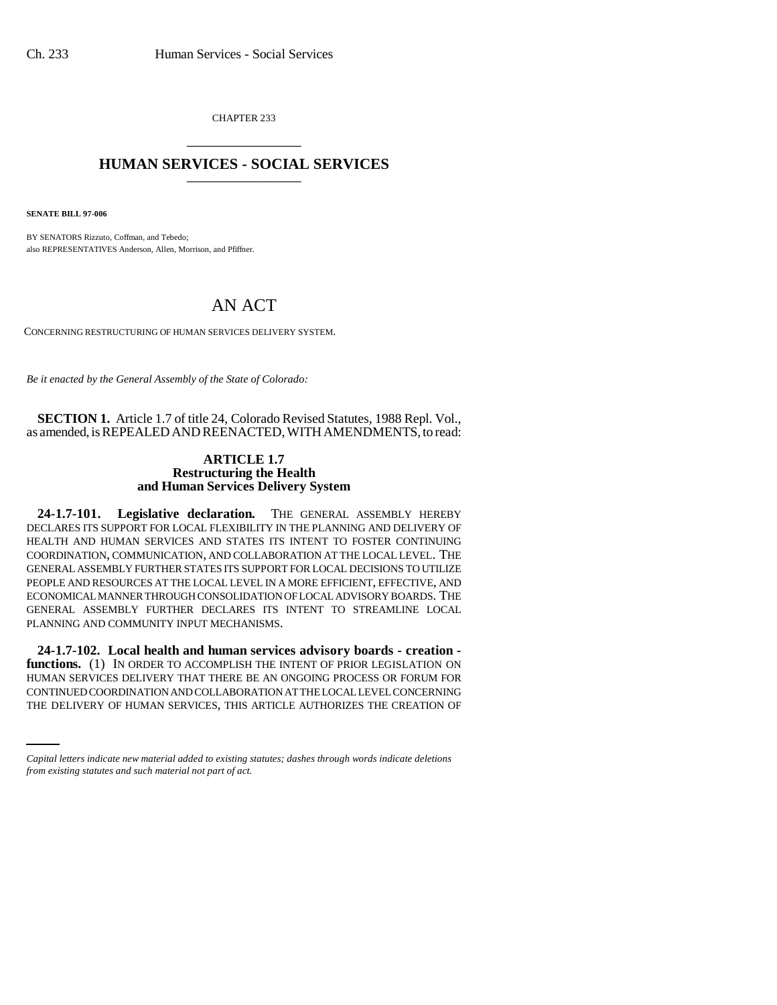CHAPTER 233 \_\_\_\_\_\_\_\_\_\_\_\_\_\_\_

## **HUMAN SERVICES - SOCIAL SERVICES** \_\_\_\_\_\_\_\_\_\_\_\_\_\_\_

**SENATE BILL 97-006**

BY SENATORS Rizzuto, Coffman, and Tebedo; also REPRESENTATIVES Anderson, Allen, Morrison, and Pfiffner.

## AN ACT

CONCERNING RESTRUCTURING OF HUMAN SERVICES DELIVERY SYSTEM.

*Be it enacted by the General Assembly of the State of Colorado:*

**SECTION 1.** Article 1.7 of title 24, Colorado Revised Statutes, 1988 Repl. Vol., as amended, is REPEALED AND REENACTED, WITH AMENDMENTS, to read:

## **ARTICLE 1.7 Restructuring the Health and Human Services Delivery System**

**24-1.7-101. Legislative declaration.** THE GENERAL ASSEMBLY HEREBY DECLARES ITS SUPPORT FOR LOCAL FLEXIBILITY IN THE PLANNING AND DELIVERY OF HEALTH AND HUMAN SERVICES AND STATES ITS INTENT TO FOSTER CONTINUING COORDINATION, COMMUNICATION, AND COLLABORATION AT THE LOCAL LEVEL. THE GENERAL ASSEMBLY FURTHER STATES ITS SUPPORT FOR LOCAL DECISIONS TO UTILIZE PEOPLE AND RESOURCES AT THE LOCAL LEVEL IN A MORE EFFICIENT, EFFECTIVE, AND ECONOMICAL MANNER THROUGH CONSOLIDATION OF LOCAL ADVISORY BOARDS. THE GENERAL ASSEMBLY FURTHER DECLARES ITS INTENT TO STREAMLINE LOCAL PLANNING AND COMMUNITY INPUT MECHANISMS.

HUMAN SERVICES DELIVERY THAT THERE BE AN ONGOING PROCESS OR FORUM FOR **24-1.7-102. Local health and human services advisory boards - creation**  functions. (1) IN ORDER TO ACCOMPLISH THE INTENT OF PRIOR LEGISLATION ON CONTINUED COORDINATION AND COLLABORATION AT THE LOCAL LEVEL CONCERNING THE DELIVERY OF HUMAN SERVICES, THIS ARTICLE AUTHORIZES THE CREATION OF

*Capital letters indicate new material added to existing statutes; dashes through words indicate deletions from existing statutes and such material not part of act.*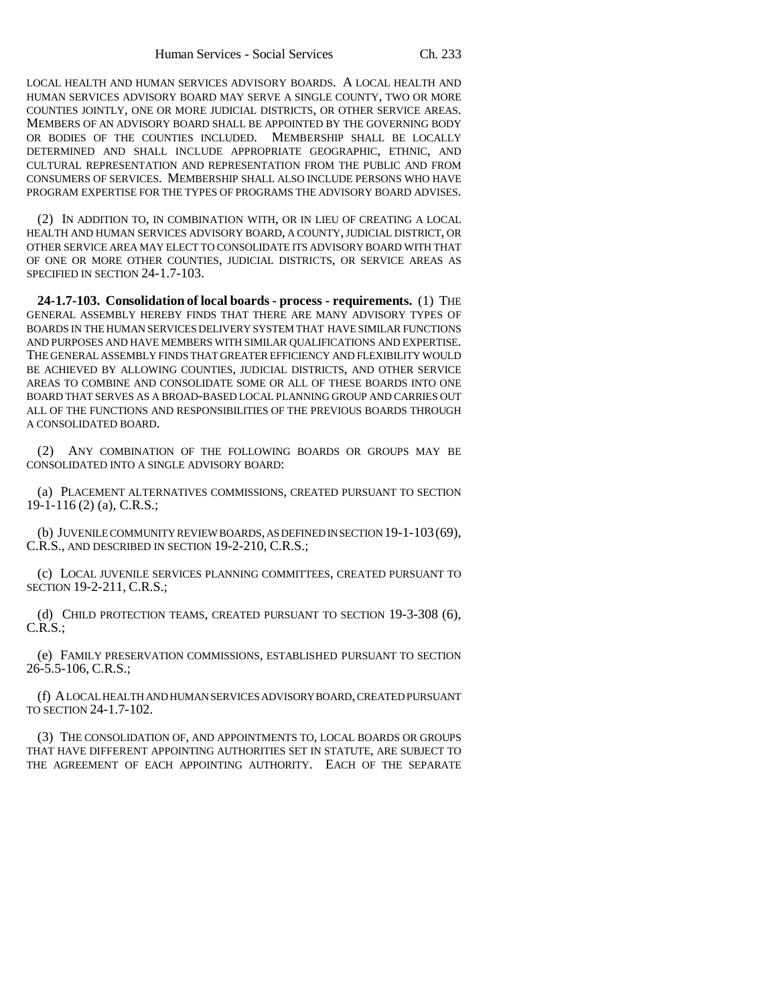LOCAL HEALTH AND HUMAN SERVICES ADVISORY BOARDS. A LOCAL HEALTH AND HUMAN SERVICES ADVISORY BOARD MAY SERVE A SINGLE COUNTY, TWO OR MORE COUNTIES JOINTLY, ONE OR MORE JUDICIAL DISTRICTS, OR OTHER SERVICE AREAS. MEMBERS OF AN ADVISORY BOARD SHALL BE APPOINTED BY THE GOVERNING BODY OR BODIES OF THE COUNTIES INCLUDED. MEMBERSHIP SHALL BE LOCALLY DETERMINED AND SHALL INCLUDE APPROPRIATE GEOGRAPHIC, ETHNIC, AND CULTURAL REPRESENTATION AND REPRESENTATION FROM THE PUBLIC AND FROM CONSUMERS OF SERVICES. MEMBERSHIP SHALL ALSO INCLUDE PERSONS WHO HAVE PROGRAM EXPERTISE FOR THE TYPES OF PROGRAMS THE ADVISORY BOARD ADVISES.

(2) IN ADDITION TO, IN COMBINATION WITH, OR IN LIEU OF CREATING A LOCAL HEALTH AND HUMAN SERVICES ADVISORY BOARD, A COUNTY, JUDICIAL DISTRICT, OR OTHER SERVICE AREA MAY ELECT TO CONSOLIDATE ITS ADVISORY BOARD WITH THAT OF ONE OR MORE OTHER COUNTIES, JUDICIAL DISTRICTS, OR SERVICE AREAS AS SPECIFIED IN SECTION 24-1.7-103.

**24-1.7-103. Consolidation of local boards - process - requirements.** (1) THE GENERAL ASSEMBLY HEREBY FINDS THAT THERE ARE MANY ADVISORY TYPES OF BOARDS IN THE HUMAN SERVICES DELIVERY SYSTEM THAT HAVE SIMILAR FUNCTIONS AND PURPOSES AND HAVE MEMBERS WITH SIMILAR QUALIFICATIONS AND EXPERTISE. THE GENERAL ASSEMBLY FINDS THAT GREATER EFFICIENCY AND FLEXIBILITY WOULD BE ACHIEVED BY ALLOWING COUNTIES, JUDICIAL DISTRICTS, AND OTHER SERVICE AREAS TO COMBINE AND CONSOLIDATE SOME OR ALL OF THESE BOARDS INTO ONE BOARD THAT SERVES AS A BROAD-BASED LOCAL PLANNING GROUP AND CARRIES OUT ALL OF THE FUNCTIONS AND RESPONSIBILITIES OF THE PREVIOUS BOARDS THROUGH A CONSOLIDATED BOARD.

(2) ANY COMBINATION OF THE FOLLOWING BOARDS OR GROUPS MAY BE CONSOLIDATED INTO A SINGLE ADVISORY BOARD:

(a) PLACEMENT ALTERNATIVES COMMISSIONS, CREATED PURSUANT TO SECTION 19-1-116 (2) (a), C.R.S.;

(b) JUVENILE COMMUNITY REVIEW BOARDS, AS DEFINED IN SECTION 19-1-103(69), C.R.S., AND DESCRIBED IN SECTION 19-2-210, C.R.S.;

(c) LOCAL JUVENILE SERVICES PLANNING COMMITTEES, CREATED PURSUANT TO SECTION 19-2-211, C.R.S.;

(d) CHILD PROTECTION TEAMS, CREATED PURSUANT TO SECTION 19-3-308 (6), C.R.S.;

(e) FAMILY PRESERVATION COMMISSIONS, ESTABLISHED PURSUANT TO SECTION 26-5.5-106, C.R.S.;

(f) A LOCAL HEALTH AND HUMAN SERVICES ADVISORY BOARD, CREATED PURSUANT TO SECTION 24-1.7-102.

(3) THE CONSOLIDATION OF, AND APPOINTMENTS TO, LOCAL BOARDS OR GROUPS THAT HAVE DIFFERENT APPOINTING AUTHORITIES SET IN STATUTE, ARE SUBJECT TO THE AGREEMENT OF EACH APPOINTING AUTHORITY. EACH OF THE SEPARATE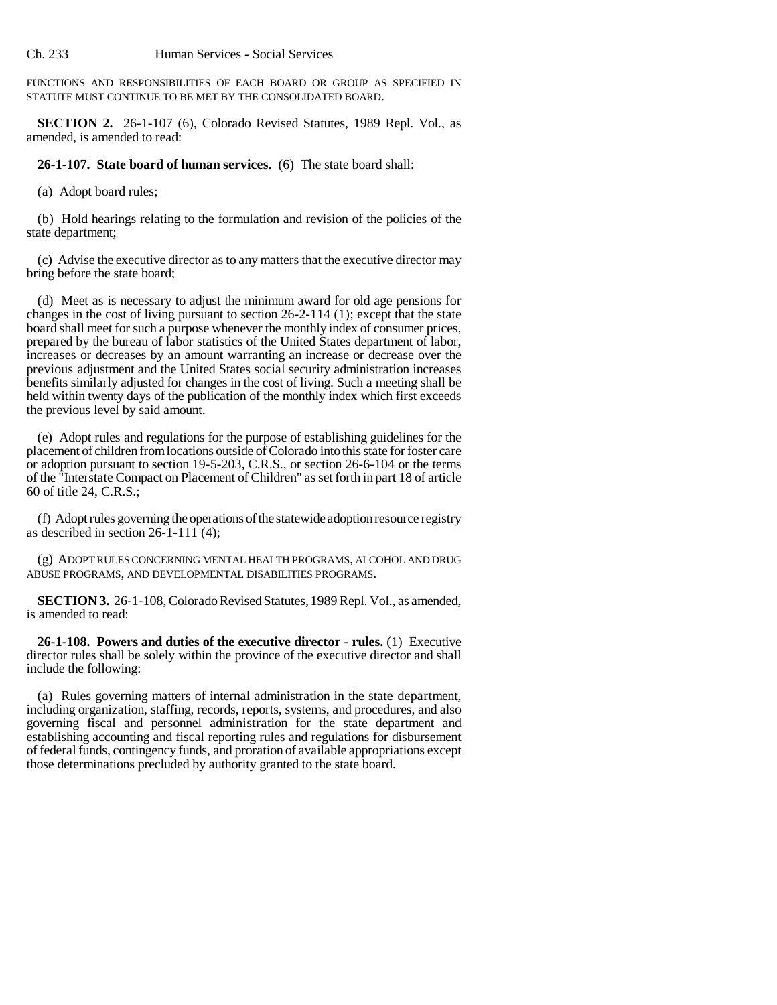FUNCTIONS AND RESPONSIBILITIES OF EACH BOARD OR GROUP AS SPECIFIED IN STATUTE MUST CONTINUE TO BE MET BY THE CONSOLIDATED BOARD.

**SECTION 2.** 26-1-107 (6), Colorado Revised Statutes, 1989 Repl. Vol., as amended, is amended to read:

**26-1-107. State board of human services.** (6) The state board shall:

(a) Adopt board rules;

(b) Hold hearings relating to the formulation and revision of the policies of the state department;

(c) Advise the executive director as to any matters that the executive director may bring before the state board;

(d) Meet as is necessary to adjust the minimum award for old age pensions for changes in the cost of living pursuant to section 26-2-114 (1); except that the state board shall meet for such a purpose whenever the monthly index of consumer prices, prepared by the bureau of labor statistics of the United States department of labor, increases or decreases by an amount warranting an increase or decrease over the previous adjustment and the United States social security administration increases benefits similarly adjusted for changes in the cost of living. Such a meeting shall be held within twenty days of the publication of the monthly index which first exceeds the previous level by said amount.

(e) Adopt rules and regulations for the purpose of establishing guidelines for the placement of children from locations outside of Colorado into this state for foster care or adoption pursuant to section 19-5-203, C.R.S., or section 26-6-104 or the terms of the "Interstate Compact on Placement of Children" as set forth in part 18 of article 60 of title 24, C.R.S.;

(f) Adopt rules governing the operations of the statewide adoption resource registry as described in section  $26-1-111$  (4);

(g) ADOPT RULES CONCERNING MENTAL HEALTH PROGRAMS, ALCOHOL AND DRUG ABUSE PROGRAMS, AND DEVELOPMENTAL DISABILITIES PROGRAMS.

**SECTION 3.** 26-1-108, Colorado Revised Statutes, 1989 Repl. Vol., as amended, is amended to read:

**26-1-108. Powers and duties of the executive director - rules.** (1) Executive director rules shall be solely within the province of the executive director and shall include the following:

(a) Rules governing matters of internal administration in the state department, including organization, staffing, records, reports, systems, and procedures, and also governing fiscal and personnel administration for the state department and establishing accounting and fiscal reporting rules and regulations for disbursement of federal funds, contingency funds, and proration of available appropriations except those determinations precluded by authority granted to the state board.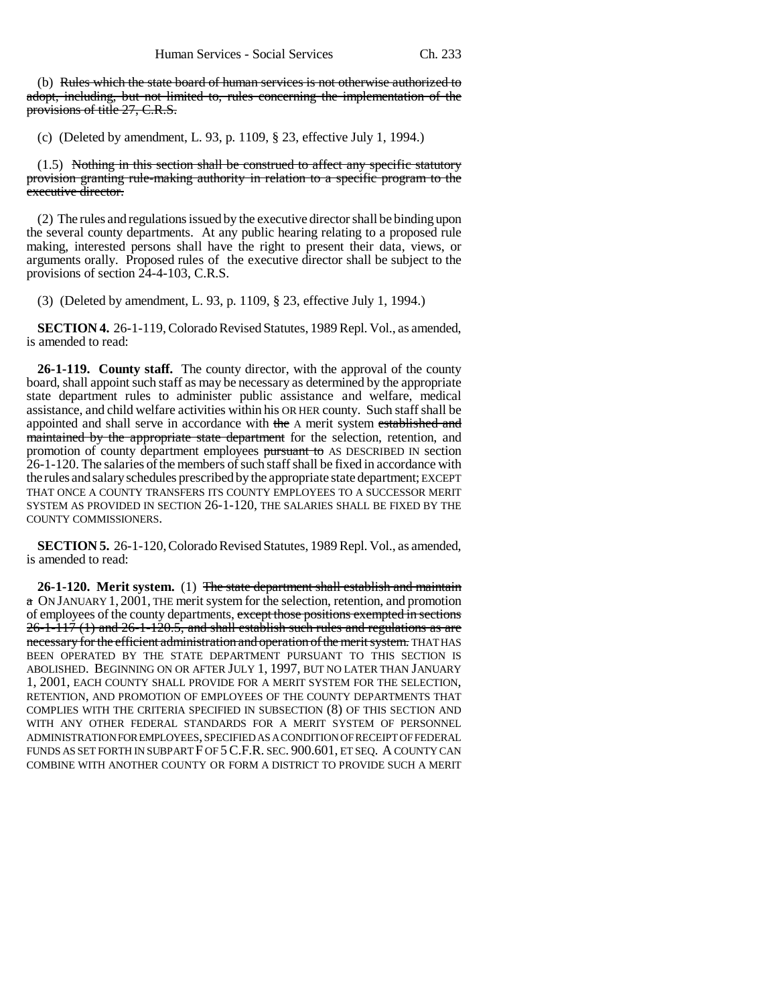(b) Rules which the state board of human services is not otherwise authorized to adopt, including, but not limited to, rules concerning the implementation of the provisions of title 27, C.R.S.

(c) (Deleted by amendment, L. 93, p. 1109, § 23, effective July 1, 1994.)

(1.5) Nothing in this section shall be construed to affect any specific statutory provision granting rule-making authority in relation to a specific program to the executive director.

(2) The rules and regulations issued by the executive director shall be binding upon the several county departments. At any public hearing relating to a proposed rule making, interested persons shall have the right to present their data, views, or arguments orally. Proposed rules of the executive director shall be subject to the provisions of section 24-4-103, C.R.S.

(3) (Deleted by amendment, L. 93, p. 1109, § 23, effective July 1, 1994.)

**SECTION 4.** 26-1-119, Colorado Revised Statutes, 1989 Repl. Vol., as amended, is amended to read:

**26-1-119. County staff.** The county director, with the approval of the county board, shall appoint such staff as may be necessary as determined by the appropriate state department rules to administer public assistance and welfare, medical assistance, and child welfare activities within his OR HER county. Such staff shall be appointed and shall serve in accordance with the A merit system established and maintained by the appropriate state department for the selection, retention, and promotion of county department employees pursuant to AS DESCRIBED IN section 26-1-120. The salaries of the members of such staff shall be fixed in accordance with the rules and salary schedules prescribed by the appropriate state department; EXCEPT THAT ONCE A COUNTY TRANSFERS ITS COUNTY EMPLOYEES TO A SUCCESSOR MERIT SYSTEM AS PROVIDED IN SECTION 26-1-120, THE SALARIES SHALL BE FIXED BY THE COUNTY COMMISSIONERS.

**SECTION 5.** 26-1-120, Colorado Revised Statutes, 1989 Repl. Vol., as amended, is amended to read:

**26-1-120. Merit system.** (1) The state department shall establish and maintain a ON JANUARY 1, 2001, THE merit system for the selection, retention, and promotion of employees of the county departments, except those positions exempted in sections  $26-1-117$  (1) and  $26-1-120.5$ , and shall establish such rules and regulations as are necessary for the efficient administration and operation of the merit system. THAT HAS BEEN OPERATED BY THE STATE DEPARTMENT PURSUANT TO THIS SECTION IS ABOLISHED. BEGINNING ON OR AFTER JULY 1, 1997, BUT NO LATER THAN JANUARY 1, 2001, EACH COUNTY SHALL PROVIDE FOR A MERIT SYSTEM FOR THE SELECTION, RETENTION, AND PROMOTION OF EMPLOYEES OF THE COUNTY DEPARTMENTS THAT COMPLIES WITH THE CRITERIA SPECIFIED IN SUBSECTION (8) OF THIS SECTION AND WITH ANY OTHER FEDERAL STANDARDS FOR A MERIT SYSTEM OF PERSONNEL ADMINISTRATION FOR EMPLOYEES, SPECIFIED AS A CONDITION OF RECEIPT OF FEDERAL FUNDS AS SET FORTH IN SUBPART F OF 5 C.F.R. SEC. 900.601, ET SEQ. A COUNTY CAN COMBINE WITH ANOTHER COUNTY OR FORM A DISTRICT TO PROVIDE SUCH A MERIT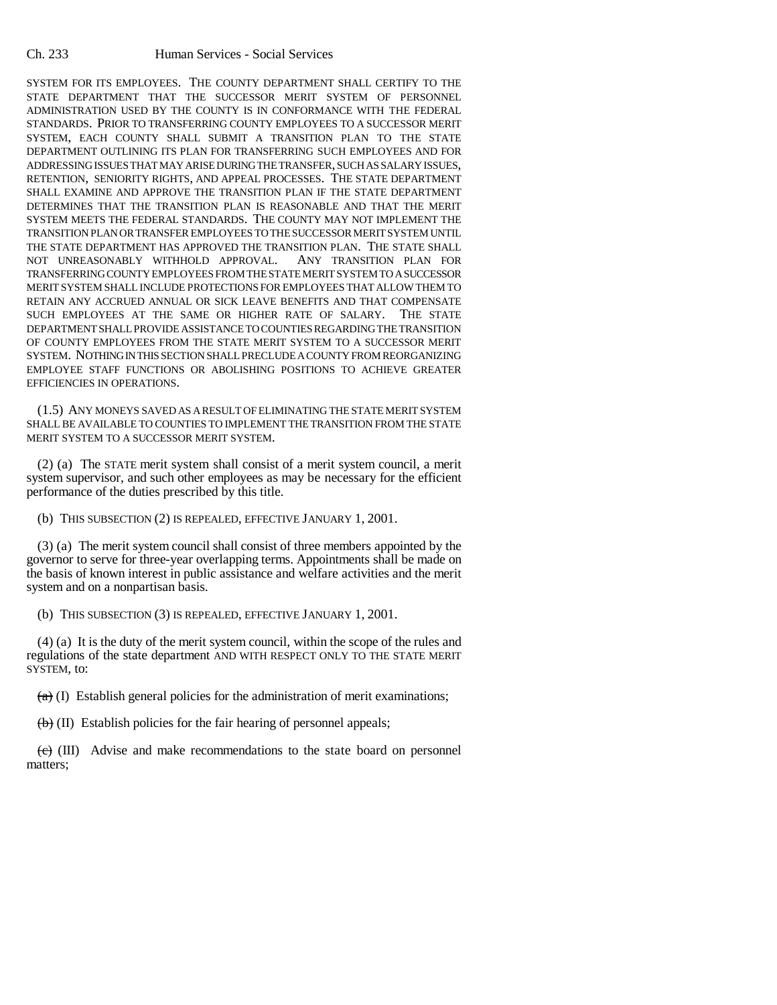SYSTEM FOR ITS EMPLOYEES. THE COUNTY DEPARTMENT SHALL CERTIFY TO THE STATE DEPARTMENT THAT THE SUCCESSOR MERIT SYSTEM OF PERSONNEL ADMINISTRATION USED BY THE COUNTY IS IN CONFORMANCE WITH THE FEDERAL STANDARDS. PRIOR TO TRANSFERRING COUNTY EMPLOYEES TO A SUCCESSOR MERIT SYSTEM, EACH COUNTY SHALL SUBMIT A TRANSITION PLAN TO THE STATE DEPARTMENT OUTLINING ITS PLAN FOR TRANSFERRING SUCH EMPLOYEES AND FOR ADDRESSING ISSUES THAT MAY ARISE DURING THE TRANSFER, SUCH AS SALARY ISSUES, RETENTION, SENIORITY RIGHTS, AND APPEAL PROCESSES. THE STATE DEPARTMENT SHALL EXAMINE AND APPROVE THE TRANSITION PLAN IF THE STATE DEPARTMENT DETERMINES THAT THE TRANSITION PLAN IS REASONABLE AND THAT THE MERIT SYSTEM MEETS THE FEDERAL STANDARDS. THE COUNTY MAY NOT IMPLEMENT THE TRANSITION PLAN OR TRANSFER EMPLOYEES TO THE SUCCESSOR MERIT SYSTEM UNTIL THE STATE DEPARTMENT HAS APPROVED THE TRANSITION PLAN. THE STATE SHALL NOT UNREASONABLY WITHHOLD APPROVAL, ANY TRANSITION PLAN FOR NOT UNREASONABLY WITHHOLD APPROVAL. TRANSFERRING COUNTY EMPLOYEES FROM THE STATE MERIT SYSTEM TO A SUCCESSOR MERIT SYSTEM SHALL INCLUDE PROTECTIONS FOR EMPLOYEES THAT ALLOW THEM TO RETAIN ANY ACCRUED ANNUAL OR SICK LEAVE BENEFITS AND THAT COMPENSATE SUCH EMPLOYEES AT THE SAME OR HIGHER RATE OF SALARY. THE STATE DEPARTMENT SHALL PROVIDE ASSISTANCE TO COUNTIES REGARDING THE TRANSITION OF COUNTY EMPLOYEES FROM THE STATE MERIT SYSTEM TO A SUCCESSOR MERIT SYSTEM. NOTHING IN THIS SECTION SHALL PRECLUDE A COUNTY FROM REORGANIZING EMPLOYEE STAFF FUNCTIONS OR ABOLISHING POSITIONS TO ACHIEVE GREATER EFFICIENCIES IN OPERATIONS.

(1.5) ANY MONEYS SAVED AS A RESULT OF ELIMINATING THE STATE MERIT SYSTEM SHALL BE AVAILABLE TO COUNTIES TO IMPLEMENT THE TRANSITION FROM THE STATE MERIT SYSTEM TO A SUCCESSOR MERIT SYSTEM.

(2) (a) The STATE merit system shall consist of a merit system council, a merit system supervisor, and such other employees as may be necessary for the efficient performance of the duties prescribed by this title.

(b) THIS SUBSECTION (2) IS REPEALED, EFFECTIVE JANUARY 1, 2001.

(3) (a) The merit system council shall consist of three members appointed by the governor to serve for three-year overlapping terms. Appointments shall be made on the basis of known interest in public assistance and welfare activities and the merit system and on a nonpartisan basis.

(b) THIS SUBSECTION (3) IS REPEALED, EFFECTIVE JANUARY 1, 2001.

(4) (a) It is the duty of the merit system council, within the scope of the rules and regulations of the state department AND WITH RESPECT ONLY TO THE STATE MERIT SYSTEM, to:

 $(a)$  (I) Establish general policies for the administration of merit examinations;

 $\left(\frac{1}{b}\right)$  (II) Establish policies for the fair hearing of personnel appeals;

 $\overrightarrow{c}$  (III) Advise and make recommendations to the state board on personnel matters;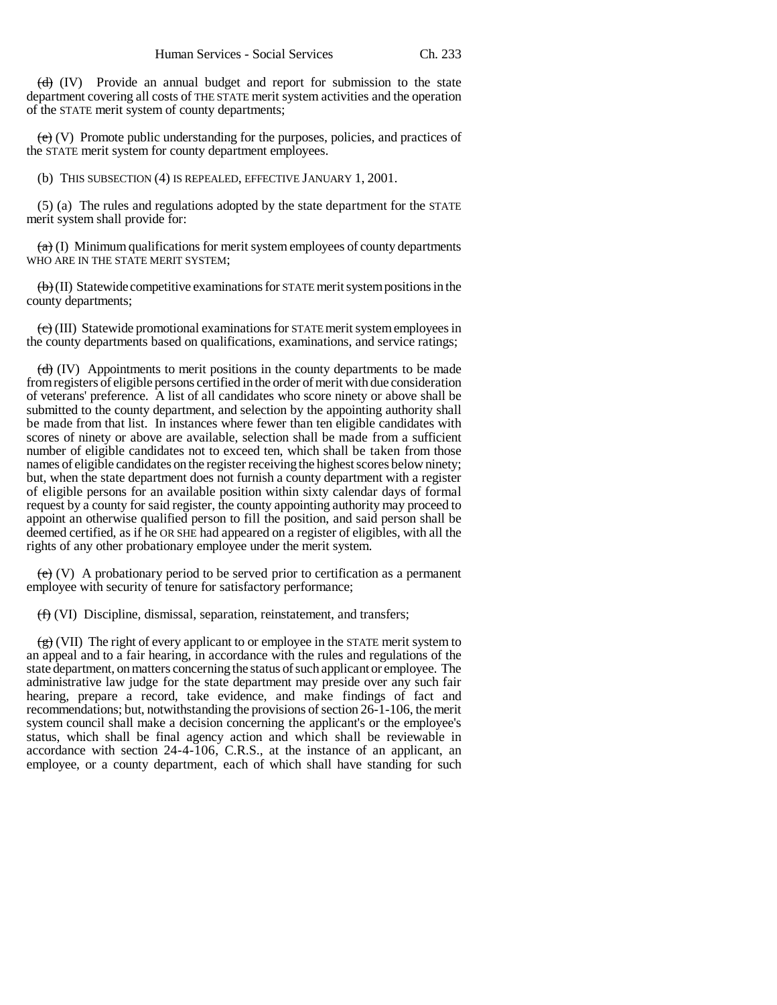$\left(\frac{d}{d}\right)$  (IV) Provide an annual budget and report for submission to the state department covering all costs of THE STATE merit system activities and the operation of the STATE merit system of county departments;

 $(e)$  (V) Promote public understanding for the purposes, policies, and practices of the STATE merit system for county department employees.

(b) THIS SUBSECTION (4) IS REPEALED, EFFECTIVE JANUARY 1, 2001.

(5) (a) The rules and regulations adopted by the state department for the STATE merit system shall provide for:

 $(a)$  (I) Minimum qualifications for merit system employees of county departments WHO ARE IN THE STATE MERIT SYSTEM;

 $\langle \Theta \rangle$  (II) Statewide competitive examinations for STATE merit system positions in the county departments;

 $\left(\frac{1}{\epsilon}\right)$  (III) Statewide promotional examinations for STATE merit system employees in the county departments based on qualifications, examinations, and service ratings;

 $(d)$  (IV) Appointments to merit positions in the county departments to be made from registers of eligible persons certified in the order of merit with due consideration of veterans' preference. A list of all candidates who score ninety or above shall be submitted to the county department, and selection by the appointing authority shall be made from that list. In instances where fewer than ten eligible candidates with scores of ninety or above are available, selection shall be made from a sufficient number of eligible candidates not to exceed ten, which shall be taken from those names of eligible candidates on the register receiving the highest scores below ninety; but, when the state department does not furnish a county department with a register of eligible persons for an available position within sixty calendar days of formal request by a county for said register, the county appointing authority may proceed to appoint an otherwise qualified person to fill the position, and said person shall be deemed certified, as if he OR SHE had appeared on a register of eligibles, with all the rights of any other probationary employee under the merit system.

 $(e)$  (V) A probationary period to be served prior to certification as a permanent employee with security of tenure for satisfactory performance;

(f) (VI) Discipline, dismissal, separation, reinstatement, and transfers;

 $(g)(VII)$  The right of every applicant to or employee in the STATE merit system to an appeal and to a fair hearing, in accordance with the rules and regulations of the state department, on matters concerning the status of such applicant or employee. The administrative law judge for the state department may preside over any such fair hearing, prepare a record, take evidence, and make findings of fact and recommendations; but, notwithstanding the provisions of section 26-1-106, the merit system council shall make a decision concerning the applicant's or the employee's status, which shall be final agency action and which shall be reviewable in accordance with section 24-4-106, C.R.S., at the instance of an applicant, an employee, or a county department, each of which shall have standing for such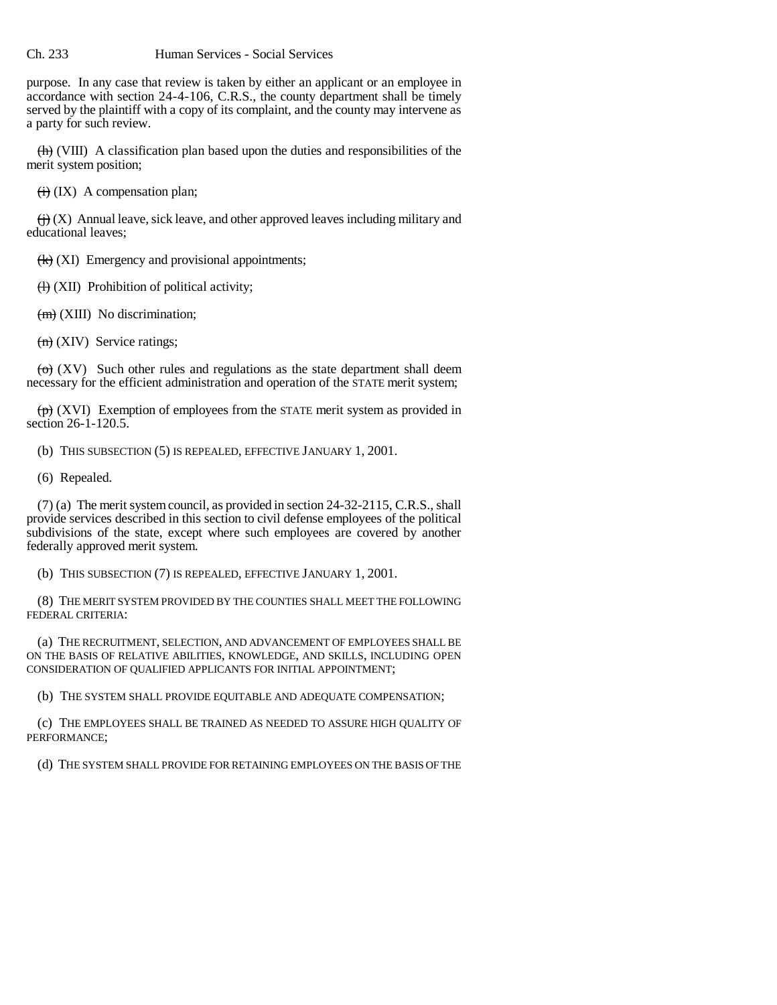## Ch. 233 Human Services - Social Services

purpose. In any case that review is taken by either an applicant or an employee in accordance with section 24-4-106, C.R.S., the county department shall be timely served by the plaintiff with a copy of its complaint, and the county may intervene as a party for such review.

 $\langle \overrightarrow{h} \rangle$  (VIII) A classification plan based upon the duties and responsibilities of the merit system position;

 $\overrightarrow{(ii)}$  (IX) A compensation plan;

 $\overleftrightarrow{(u)}$  (X) Annual leave, sick leave, and other approved leaves including military and educational leaves;

 $\left(\frac{1}{k}\right)$  (XI) Emergency and provisional appointments;

 $\left(\frac{H}{H}\right)$  (XII) Prohibition of political activity;

 $(m)$  (XIII) No discrimination;

 $(n)$  (XIV) Service ratings;

 $\overline{(o)}$  (XV) Such other rules and regulations as the state department shall deem necessary for the efficient administration and operation of the STATE merit system;

 $\overline{p}(x)$  (XVI) Exemption of employees from the STATE merit system as provided in section 26-1-120.5.

(b) THIS SUBSECTION (5) IS REPEALED, EFFECTIVE JANUARY 1, 2001.

(6) Repealed.

(7) (a) The merit system council, as provided in section 24-32-2115, C.R.S., shall provide services described in this section to civil defense employees of the political subdivisions of the state, except where such employees are covered by another federally approved merit system.

(b) THIS SUBSECTION (7) IS REPEALED, EFFECTIVE JANUARY 1, 2001.

(8) THE MERIT SYSTEM PROVIDED BY THE COUNTIES SHALL MEET THE FOLLOWING FEDERAL CRITERIA:

(a) THE RECRUITMENT, SELECTION, AND ADVANCEMENT OF EMPLOYEES SHALL BE ON THE BASIS OF RELATIVE ABILITIES, KNOWLEDGE, AND SKILLS, INCLUDING OPEN CONSIDERATION OF QUALIFIED APPLICANTS FOR INITIAL APPOINTMENT;

(b) THE SYSTEM SHALL PROVIDE EQUITABLE AND ADEQUATE COMPENSATION;

(c) THE EMPLOYEES SHALL BE TRAINED AS NEEDED TO ASSURE HIGH QUALITY OF PERFORMANCE;

(d) THE SYSTEM SHALL PROVIDE FOR RETAINING EMPLOYEES ON THE BASIS OF THE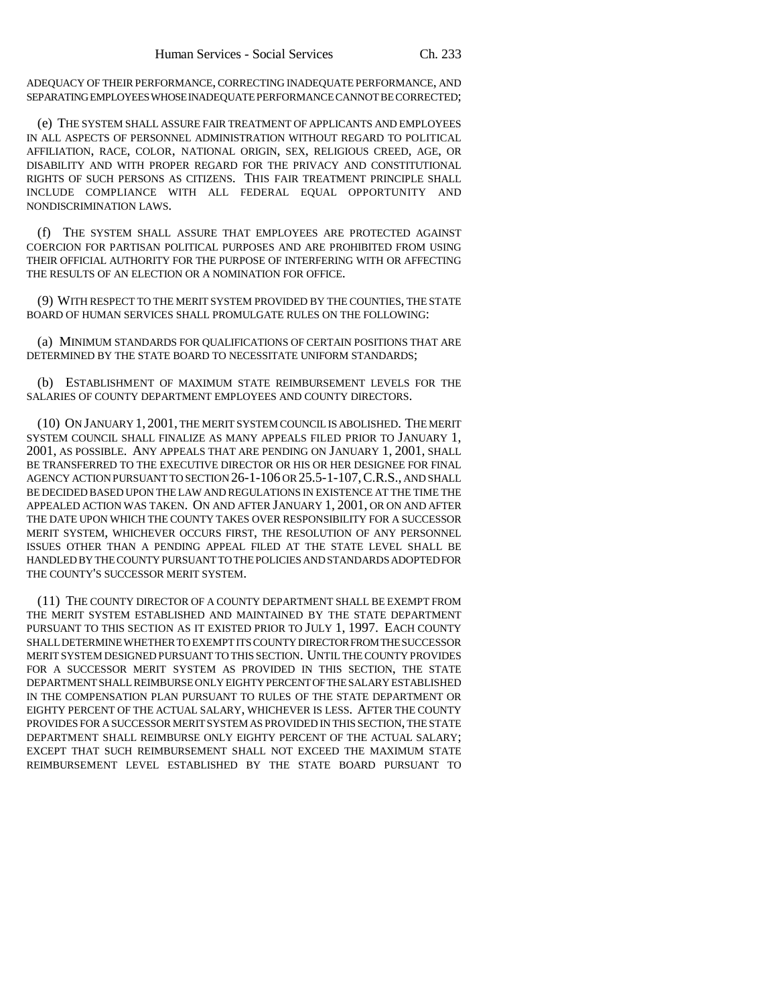ADEQUACY OF THEIR PERFORMANCE, CORRECTING INADEQUATE PERFORMANCE, AND SEPARATING EMPLOYEES WHOSE INADEQUATE PERFORMANCE CANNOT BE CORRECTED;

(e) THE SYSTEM SHALL ASSURE FAIR TREATMENT OF APPLICANTS AND EMPLOYEES IN ALL ASPECTS OF PERSONNEL ADMINISTRATION WITHOUT REGARD TO POLITICAL AFFILIATION, RACE, COLOR, NATIONAL ORIGIN, SEX, RELIGIOUS CREED, AGE, OR DISABILITY AND WITH PROPER REGARD FOR THE PRIVACY AND CONSTITUTIONAL RIGHTS OF SUCH PERSONS AS CITIZENS. THIS FAIR TREATMENT PRINCIPLE SHALL INCLUDE COMPLIANCE WITH ALL FEDERAL EQUAL OPPORTUNITY AND NONDISCRIMINATION LAWS.

(f) THE SYSTEM SHALL ASSURE THAT EMPLOYEES ARE PROTECTED AGAINST COERCION FOR PARTISAN POLITICAL PURPOSES AND ARE PROHIBITED FROM USING THEIR OFFICIAL AUTHORITY FOR THE PURPOSE OF INTERFERING WITH OR AFFECTING THE RESULTS OF AN ELECTION OR A NOMINATION FOR OFFICE.

(9) WITH RESPECT TO THE MERIT SYSTEM PROVIDED BY THE COUNTIES, THE STATE BOARD OF HUMAN SERVICES SHALL PROMULGATE RULES ON THE FOLLOWING:

(a) MINIMUM STANDARDS FOR QUALIFICATIONS OF CERTAIN POSITIONS THAT ARE DETERMINED BY THE STATE BOARD TO NECESSITATE UNIFORM STANDARDS;

(b) ESTABLISHMENT OF MAXIMUM STATE REIMBURSEMENT LEVELS FOR THE SALARIES OF COUNTY DEPARTMENT EMPLOYEES AND COUNTY DIRECTORS.

(10) ON JANUARY 1, 2001, THE MERIT SYSTEM COUNCIL IS ABOLISHED. THE MERIT SYSTEM COUNCIL SHALL FINALIZE AS MANY APPEALS FILED PRIOR TO JANUARY 1, 2001, AS POSSIBLE. ANY APPEALS THAT ARE PENDING ON JANUARY 1, 2001, SHALL BE TRANSFERRED TO THE EXECUTIVE DIRECTOR OR HIS OR HER DESIGNEE FOR FINAL AGENCY ACTION PURSUANT TO SECTION 26-1-106 OR 25.5-1-107,C.R.S., AND SHALL BE DECIDED BASED UPON THE LAW AND REGULATIONS IN EXISTENCE AT THE TIME THE APPEALED ACTION WAS TAKEN. ON AND AFTER JANUARY 1, 2001, OR ON AND AFTER THE DATE UPON WHICH THE COUNTY TAKES OVER RESPONSIBILITY FOR A SUCCESSOR MERIT SYSTEM, WHICHEVER OCCURS FIRST, THE RESOLUTION OF ANY PERSONNEL ISSUES OTHER THAN A PENDING APPEAL FILED AT THE STATE LEVEL SHALL BE HANDLED BY THE COUNTY PURSUANT TO THE POLICIES AND STANDARDS ADOPTED FOR THE COUNTY'S SUCCESSOR MERIT SYSTEM.

(11) THE COUNTY DIRECTOR OF A COUNTY DEPARTMENT SHALL BE EXEMPT FROM THE MERIT SYSTEM ESTABLISHED AND MAINTAINED BY THE STATE DEPARTMENT PURSUANT TO THIS SECTION AS IT EXISTED PRIOR TO JULY 1, 1997. EACH COUNTY SHALL DETERMINE WHETHER TO EXEMPT ITS COUNTY DIRECTOR FROM THE SUCCESSOR MERIT SYSTEM DESIGNED PURSUANT TO THIS SECTION. UNTIL THE COUNTY PROVIDES FOR A SUCCESSOR MERIT SYSTEM AS PROVIDED IN THIS SECTION, THE STATE DEPARTMENT SHALL REIMBURSE ONLY EIGHTY PERCENT OF THE SALARY ESTABLISHED IN THE COMPENSATION PLAN PURSUANT TO RULES OF THE STATE DEPARTMENT OR EIGHTY PERCENT OF THE ACTUAL SALARY, WHICHEVER IS LESS. AFTER THE COUNTY PROVIDES FOR A SUCCESSOR MERIT SYSTEM AS PROVIDED IN THIS SECTION, THE STATE DEPARTMENT SHALL REIMBURSE ONLY EIGHTY PERCENT OF THE ACTUAL SALARY; EXCEPT THAT SUCH REIMBURSEMENT SHALL NOT EXCEED THE MAXIMUM STATE REIMBURSEMENT LEVEL ESTABLISHED BY THE STATE BOARD PURSUANT TO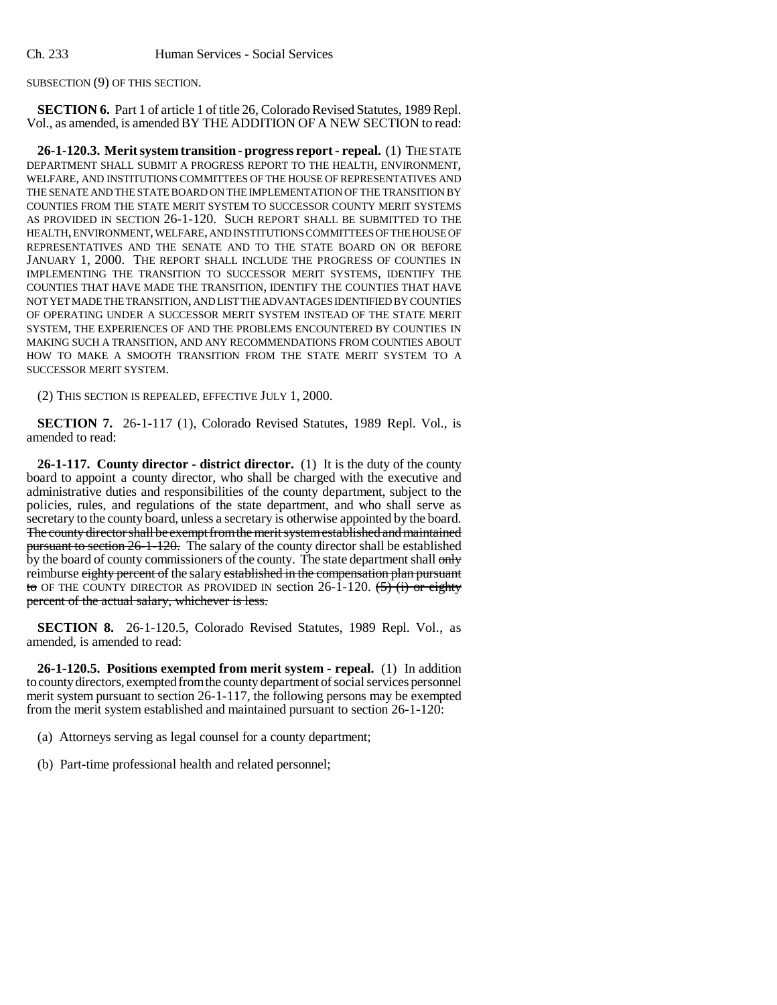SUBSECTION (9) OF THIS SECTION.

**SECTION 6.** Part 1 of article 1 of title 26, Colorado Revised Statutes, 1989 Repl. Vol., as amended, is amended BY THE ADDITION OF A NEW SECTION to read:

**26-1-120.3. Merit system transition - progress report - repeal.** (1) THE STATE DEPARTMENT SHALL SUBMIT A PROGRESS REPORT TO THE HEALTH, ENVIRONMENT, WELFARE, AND INSTITUTIONS COMMITTEES OF THE HOUSE OF REPRESENTATIVES AND THE SENATE AND THE STATE BOARD ON THE IMPLEMENTATION OF THE TRANSITION BY COUNTIES FROM THE STATE MERIT SYSTEM TO SUCCESSOR COUNTY MERIT SYSTEMS AS PROVIDED IN SECTION 26-1-120. SUCH REPORT SHALL BE SUBMITTED TO THE HEALTH, ENVIRONMENT, WELFARE, AND INSTITUTIONS COMMITTEES OF THE HOUSE OF REPRESENTATIVES AND THE SENATE AND TO THE STATE BOARD ON OR BEFORE JANUARY 1, 2000. THE REPORT SHALL INCLUDE THE PROGRESS OF COUNTIES IN IMPLEMENTING THE TRANSITION TO SUCCESSOR MERIT SYSTEMS, IDENTIFY THE COUNTIES THAT HAVE MADE THE TRANSITION, IDENTIFY THE COUNTIES THAT HAVE NOT YET MADE THE TRANSITION, AND LIST THE ADVANTAGES IDENTIFIED BY COUNTIES OF OPERATING UNDER A SUCCESSOR MERIT SYSTEM INSTEAD OF THE STATE MERIT SYSTEM, THE EXPERIENCES OF AND THE PROBLEMS ENCOUNTERED BY COUNTIES IN MAKING SUCH A TRANSITION, AND ANY RECOMMENDATIONS FROM COUNTIES ABOUT HOW TO MAKE A SMOOTH TRANSITION FROM THE STATE MERIT SYSTEM TO A SUCCESSOR MERIT SYSTEM.

(2) THIS SECTION IS REPEALED, EFFECTIVE JULY 1, 2000.

**SECTION 7.** 26-1-117 (1), Colorado Revised Statutes, 1989 Repl. Vol., is amended to read:

**26-1-117. County director - district director.** (1) It is the duty of the county board to appoint a county director, who shall be charged with the executive and administrative duties and responsibilities of the county department, subject to the policies, rules, and regulations of the state department, and who shall serve as secretary to the county board, unless a secretary is otherwise appointed by the board. The county director shall be exempt from the merit system established and maintained pursuant to section 26-1-120. The salary of the county director shall be established by the board of county commissioners of the county. The state department shall only reimburse eighty percent of the salary established in the compensation plan pursuant to OF THE COUNTY DIRECTOR AS PROVIDED IN section 26-1-120.  $\left(5\right)$  (i) or eighty percent of the actual salary, whichever is less.

**SECTION 8.** 26-1-120.5, Colorado Revised Statutes, 1989 Repl. Vol., as amended, is amended to read:

**26-1-120.5. Positions exempted from merit system - repeal.** (1) In addition to county directors, exempted from the county department of social services personnel merit system pursuant to section 26-1-117, the following persons may be exempted from the merit system established and maintained pursuant to section 26-1-120:

(a) Attorneys serving as legal counsel for a county department;

(b) Part-time professional health and related personnel;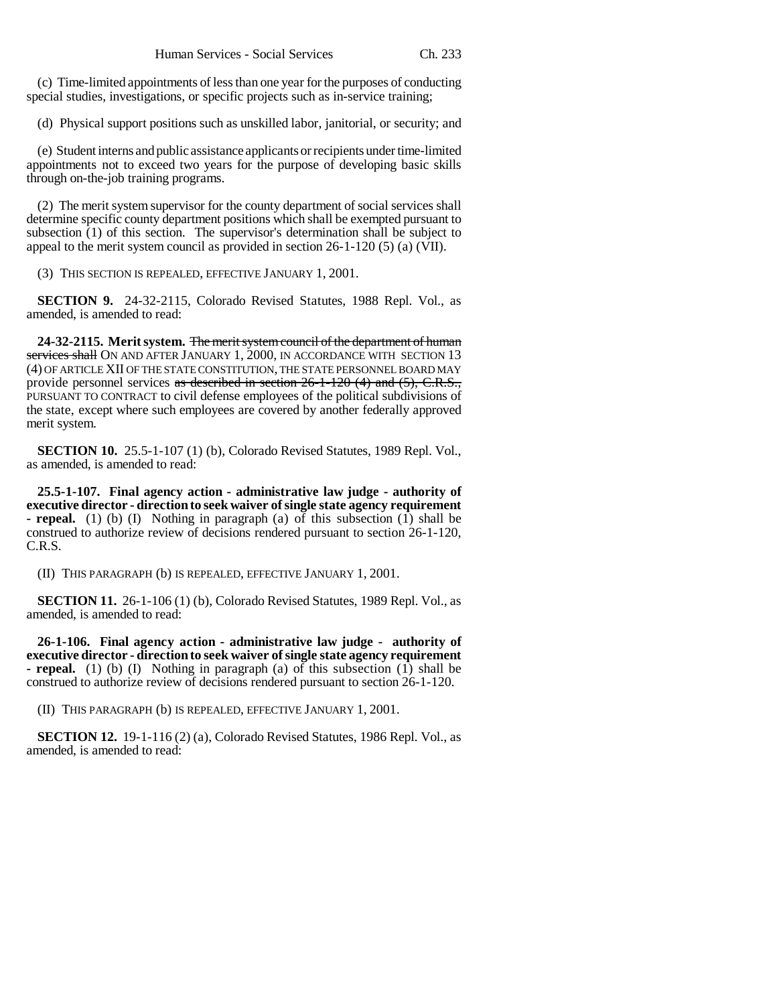(c) Time-limited appointments of less than one year for the purposes of conducting special studies, investigations, or specific projects such as in-service training;

(d) Physical support positions such as unskilled labor, janitorial, or security; and

(e) Student interns and public assistance applicants or recipients under time-limited appointments not to exceed two years for the purpose of developing basic skills through on-the-job training programs.

(2) The merit system supervisor for the county department of social services shall determine specific county department positions which shall be exempted pursuant to subsection  $(1)$  of this section. The supervisor's determination shall be subject to appeal to the merit system council as provided in section  $26-1-120$  (5) (a) (VII).

(3) THIS SECTION IS REPEALED, EFFECTIVE JANUARY 1, 2001.

**SECTION 9.** 24-32-2115, Colorado Revised Statutes, 1988 Repl. Vol., as amended, is amended to read:

**24-32-2115. Merit system.** The merit system council of the department of human services shall ON AND AFTER JANUARY 1, 2000, IN ACCORDANCE WITH SECTION 13 (4) OF ARTICLE XII OF THE STATE CONSTITUTION, THE STATE PERSONNEL BOARD MAY provide personnel services as described in section 26-1-120 (4) and (5), C.R.S., PURSUANT TO CONTRACT to civil defense employees of the political subdivisions of the state, except where such employees are covered by another federally approved merit system.

**SECTION 10.** 25.5-1-107 (1) (b), Colorado Revised Statutes, 1989 Repl. Vol., as amended, is amended to read:

**25.5-1-107. Final agency action - administrative law judge - authority of executive director - direction to seek waiver of single state agency requirement - repeal.** (1) (b) (I) Nothing in paragraph (a) of this subsection (1) shall be construed to authorize review of decisions rendered pursuant to section 26-1-120, C.R.S.

(II) THIS PARAGRAPH (b) IS REPEALED, EFFECTIVE JANUARY 1, 2001.

**SECTION 11.** 26-1-106 (1) (b), Colorado Revised Statutes, 1989 Repl. Vol., as amended, is amended to read:

**26-1-106. Final agency action - administrative law judge - authority of executive director - direction to seek waiver of single state agency requirement - repeal.** (1) (b) (I) Nothing in paragraph (a) of this subsection (1) shall be construed to authorize review of decisions rendered pursuant to section 26-1-120.

(II) THIS PARAGRAPH (b) IS REPEALED, EFFECTIVE JANUARY 1, 2001.

**SECTION 12.** 19-1-116 (2) (a), Colorado Revised Statutes, 1986 Repl. Vol., as amended, is amended to read: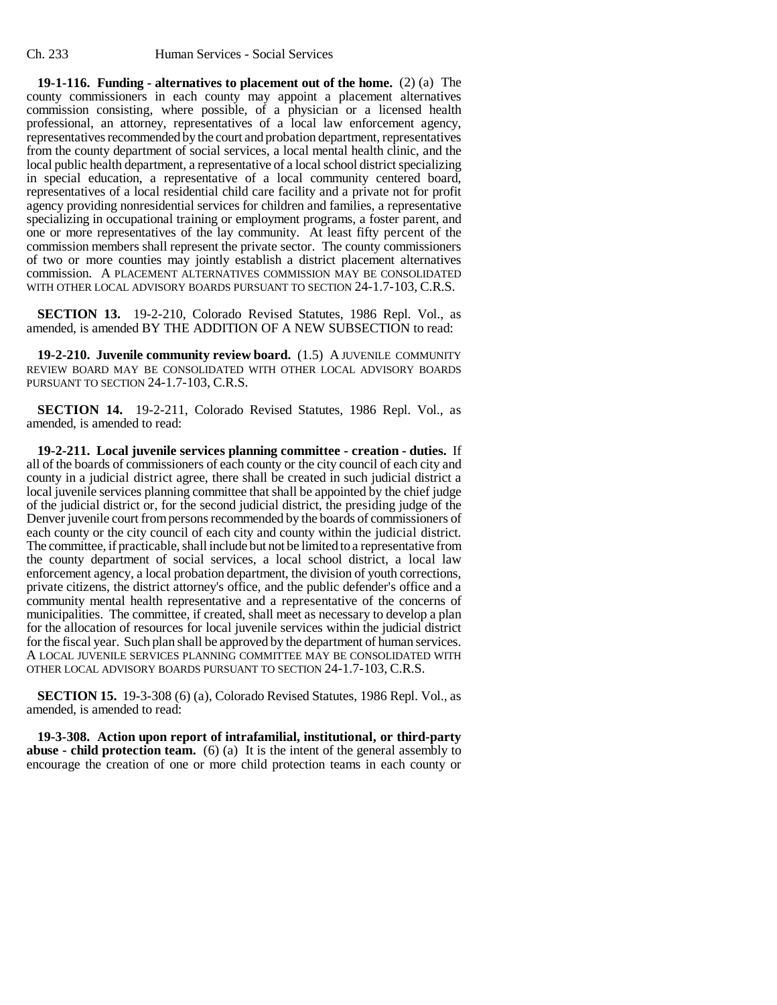**19-1-116. Funding - alternatives to placement out of the home.** (2) (a) The county commissioners in each county may appoint a placement alternatives commission consisting, where possible, of a physician or a licensed health professional, an attorney, representatives of a local law enforcement agency, representatives recommended by the court and probation department, representatives from the county department of social services, a local mental health clinic, and the local public health department, a representative of a local school district specializing in special education, a representative of a local community centered board, representatives of a local residential child care facility and a private not for profit agency providing nonresidential services for children and families, a representative specializing in occupational training or employment programs, a foster parent, and one or more representatives of the lay community. At least fifty percent of the commission members shall represent the private sector. The county commissioners of two or more counties may jointly establish a district placement alternatives commission. A PLACEMENT ALTERNATIVES COMMISSION MAY BE CONSOLIDATED WITH OTHER LOCAL ADVISORY BOARDS PURSUANT TO SECTION 24-1.7-103, C.R.S.

**SECTION 13.** 19-2-210, Colorado Revised Statutes, 1986 Repl. Vol., as amended, is amended BY THE ADDITION OF A NEW SUBSECTION to read:

**19-2-210. Juvenile community review board.** (1.5) A JUVENILE COMMUNITY REVIEW BOARD MAY BE CONSOLIDATED WITH OTHER LOCAL ADVISORY BOARDS PURSUANT TO SECTION 24-1.7-103, C.R.S.

**SECTION 14.** 19-2-211, Colorado Revised Statutes, 1986 Repl. Vol., as amended, is amended to read:

**19-2-211. Local juvenile services planning committee - creation - duties.** If all of the boards of commissioners of each county or the city council of each city and county in a judicial district agree, there shall be created in such judicial district a local juvenile services planning committee that shall be appointed by the chief judge of the judicial district or, for the second judicial district, the presiding judge of the Denver juvenile court from persons recommended by the boards of commissioners of each county or the city council of each city and county within the judicial district. The committee, if practicable, shall include but not be limited to a representative from the county department of social services, a local school district, a local law enforcement agency, a local probation department, the division of youth corrections, private citizens, the district attorney's office, and the public defender's office and a community mental health representative and a representative of the concerns of municipalities. The committee, if created, shall meet as necessary to develop a plan for the allocation of resources for local juvenile services within the judicial district for the fiscal year. Such plan shall be approved by the department of human services. A LOCAL JUVENILE SERVICES PLANNING COMMITTEE MAY BE CONSOLIDATED WITH OTHER LOCAL ADVISORY BOARDS PURSUANT TO SECTION 24-1.7-103, C.R.S.

**SECTION 15.** 19-3-308 (6) (a), Colorado Revised Statutes, 1986 Repl. Vol., as amended, is amended to read:

**19-3-308. Action upon report of intrafamilial, institutional, or third-party abuse - child protection team.** (6) (a) It is the intent of the general assembly to encourage the creation of one or more child protection teams in each county or